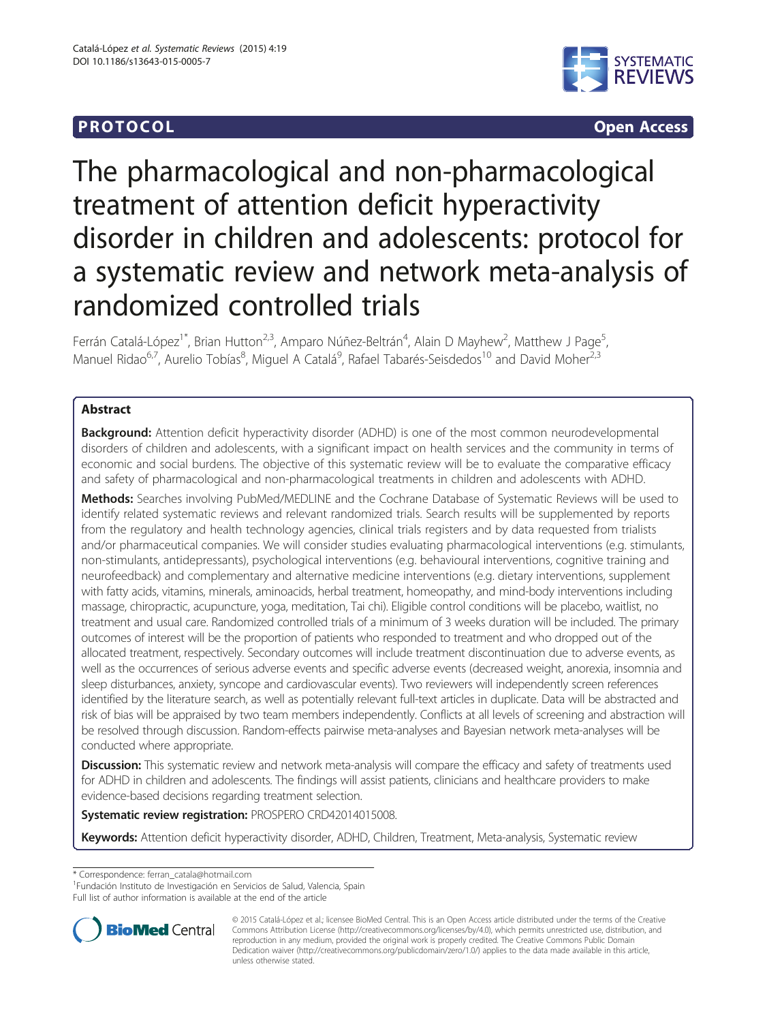# **PROTOCOL CONSUMING ACCESS**



# The pharmacological and non-pharmacological treatment of attention deficit hyperactivity disorder in children and adolescents: protocol for a systematic review and network meta-analysis of randomized controlled trials

Ferrán Catalá-López<sup>1\*</sup>, Brian Hutton<sup>2,3</sup>, Amparo Núñez-Beltrán<sup>4</sup>, Alain D Mayhew<sup>2</sup>, Matthew J Page<sup>5</sup> , Manuel Ridao<sup>6,7</sup>, Aurelio Tobías<sup>8</sup>, Miguel A Catalá<sup>9</sup>, Rafael Tabarés-Seisdedos<sup>10</sup> and David Moher<sup>2,3</sup>

# Abstract

**Background:** Attention deficit hyperactivity disorder (ADHD) is one of the most common neurodevelopmental disorders of children and adolescents, with a significant impact on health services and the community in terms of economic and social burdens. The objective of this systematic review will be to evaluate the comparative efficacy and safety of pharmacological and non-pharmacological treatments in children and adolescents with ADHD.

Methods: Searches involving PubMed/MEDLINE and the Cochrane Database of Systematic Reviews will be used to identify related systematic reviews and relevant randomized trials. Search results will be supplemented by reports from the regulatory and health technology agencies, clinical trials registers and by data requested from trialists and/or pharmaceutical companies. We will consider studies evaluating pharmacological interventions (e.g. stimulants, non-stimulants, antidepressants), psychological interventions (e.g. behavioural interventions, cognitive training and neurofeedback) and complementary and alternative medicine interventions (e.g. dietary interventions, supplement with fatty acids, vitamins, minerals, aminoacids, herbal treatment, homeopathy, and mind-body interventions including massage, chiropractic, acupuncture, yoga, meditation, Tai chi). Eligible control conditions will be placebo, waitlist, no treatment and usual care. Randomized controlled trials of a minimum of 3 weeks duration will be included. The primary outcomes of interest will be the proportion of patients who responded to treatment and who dropped out of the allocated treatment, respectively. Secondary outcomes will include treatment discontinuation due to adverse events, as well as the occurrences of serious adverse events and specific adverse events (decreased weight, anorexia, insomnia and sleep disturbances, anxiety, syncope and cardiovascular events). Two reviewers will independently screen references identified by the literature search, as well as potentially relevant full-text articles in duplicate. Data will be abstracted and risk of bias will be appraised by two team members independently. Conflicts at all levels of screening and abstraction will be resolved through discussion. Random-effects pairwise meta-analyses and Bayesian network meta-analyses will be conducted where appropriate.

Discussion: This systematic review and network meta-analysis will compare the efficacy and safety of treatments used for ADHD in children and adolescents. The findings will assist patients, clinicians and healthcare providers to make evidence-based decisions regarding treatment selection.

Systematic review registration: PROSPERO [CRD42014015008.](http://www.crd.york.ac.uk/PROSPERO/display_record.asp?ID%20=%20CRD42014015008#.VNSqwp2DPcs)

Keywords: Attention deficit hyperactivity disorder, ADHD, Children, Treatment, Meta-analysis, Systematic review

\* Correspondence: [ferran\\_catala@hotmail.com](mailto:ferran_catala@hotmail.com) <sup>1</sup>

<sup>1</sup> Fundación Instituto de Investigación en Servicios de Salud, Valencia, Spain

Full list of author information is available at the end of the article



© 2015 Catalá-López et al.; licensee BioMed Central. This is an Open Access article distributed under the terms of the Creative Commons Attribution License [\(http://creativecommons.org/licenses/by/4.0\)](http://creativecommons.org/licenses/by/4.0), which permits unrestricted use, distribution, and reproduction in any medium, provided the original work is properly credited. The Creative Commons Public Domain Dedication waiver [\(http://creativecommons.org/publicdomain/zero/1.0/](http://creativecommons.org/publicdomain/zero/1.0/)) applies to the data made available in this article, unless otherwise stated.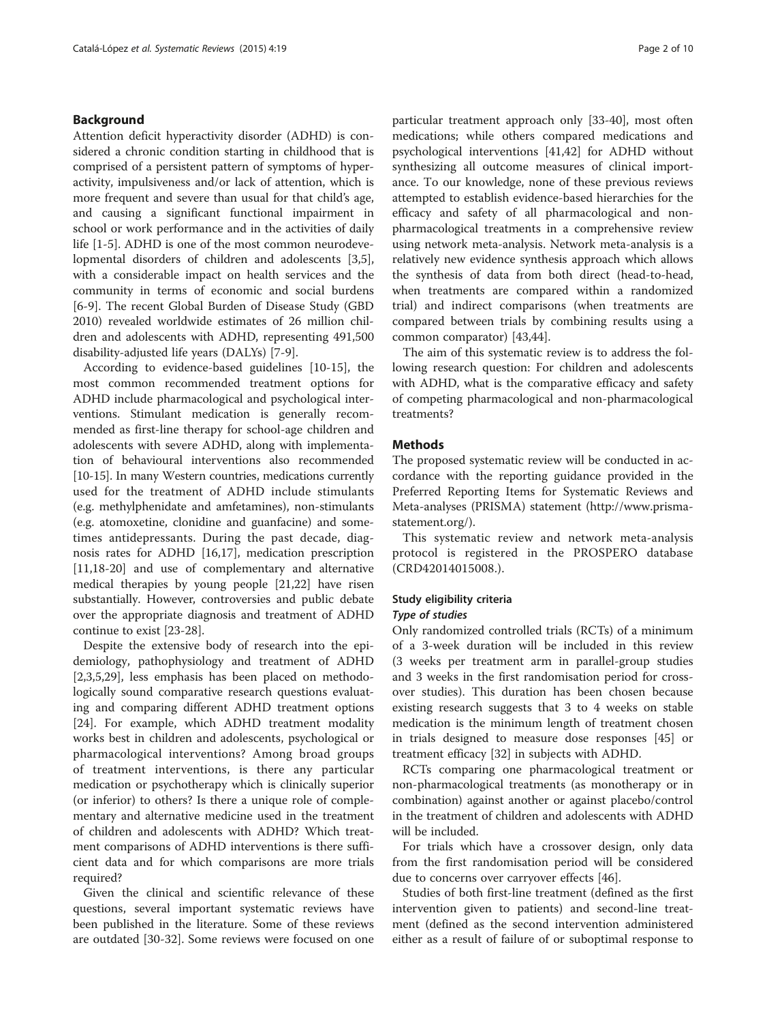# Background

Attention deficit hyperactivity disorder (ADHD) is considered a chronic condition starting in childhood that is comprised of a persistent pattern of symptoms of hyperactivity, impulsiveness and/or lack of attention, which is more frequent and severe than usual for that child's age, and causing a significant functional impairment in school or work performance and in the activities of daily life [\[1](#page-7-0)-[5](#page-7-0)]. ADHD is one of the most common neurodevelopmental disorders of children and adolescents [\[3,5](#page-7-0)], with a considerable impact on health services and the community in terms of economic and social burdens [[6-9](#page-7-0)]. The recent Global Burden of Disease Study (GBD 2010) revealed worldwide estimates of 26 million children and adolescents with ADHD, representing 491,500 disability-adjusted life years (DALYs) [\[7-9](#page-7-0)].

According to evidence-based guidelines [[10](#page-8-0)-[15\]](#page-8-0), the most common recommended treatment options for ADHD include pharmacological and psychological interventions. Stimulant medication is generally recommended as first-line therapy for school-age children and adolescents with severe ADHD, along with implementation of behavioural interventions also recommended [[10](#page-8-0)-[15](#page-8-0)]. In many Western countries, medications currently used for the treatment of ADHD include stimulants (e.g. methylphenidate and amfetamines), non-stimulants (e.g. atomoxetine, clonidine and guanfacine) and sometimes antidepressants. During the past decade, diagnosis rates for ADHD [[16,17](#page-8-0)], medication prescription [[11,18-20\]](#page-8-0) and use of complementary and alternative medical therapies by young people [[21](#page-8-0),[22](#page-8-0)] have risen substantially. However, controversies and public debate over the appropriate diagnosis and treatment of ADHD continue to exist [\[23](#page-8-0)-[28\]](#page-8-0).

Despite the extensive body of research into the epidemiology, pathophysiology and treatment of ADHD [[2,3,5,](#page-7-0)[29\]](#page-8-0), less emphasis has been placed on methodologically sound comparative research questions evaluating and comparing different ADHD treatment options [[24\]](#page-8-0). For example, which ADHD treatment modality works best in children and adolescents, psychological or pharmacological interventions? Among broad groups of treatment interventions, is there any particular medication or psychotherapy which is clinically superior (or inferior) to others? Is there a unique role of complementary and alternative medicine used in the treatment of children and adolescents with ADHD? Which treatment comparisons of ADHD interventions is there sufficient data and for which comparisons are more trials required?

Given the clinical and scientific relevance of these questions, several important systematic reviews have been published in the literature. Some of these reviews are outdated [[30](#page-8-0)-[32\]](#page-8-0). Some reviews were focused on one particular treatment approach only [\[33-40](#page-8-0)], most often medications; while others compared medications and psychological interventions [\[41,42](#page-8-0)] for ADHD without synthesizing all outcome measures of clinical importance. To our knowledge, none of these previous reviews attempted to establish evidence-based hierarchies for the efficacy and safety of all pharmacological and nonpharmacological treatments in a comprehensive review using network meta-analysis. Network meta-analysis is a relatively new evidence synthesis approach which allows the synthesis of data from both direct (head-to-head, when treatments are compared within a randomized trial) and indirect comparisons (when treatments are compared between trials by combining results using a common comparator) [[43,44](#page-8-0)].

The aim of this systematic review is to address the following research question: For children and adolescents with ADHD, what is the comparative efficacy and safety of competing pharmacological and non-pharmacological treatments?

# **Methods**

The proposed systematic review will be conducted in accordance with the reporting guidance provided in the Preferred Reporting Items for Systematic Reviews and Meta-analyses (PRISMA) statement [\(http://www.prisma](http://www.prisma-statement.org/)[statement.org/\)](http://www.prisma-statement.org/).

This systematic review and network meta-analysis protocol is registered in the PROSPERO database (CRD42014015008.).

# Study eligibility criteria

# Type of studies

Only randomized controlled trials (RCTs) of a minimum of a 3-week duration will be included in this review (3 weeks per treatment arm in parallel-group studies and 3 weeks in the first randomisation period for crossover studies). This duration has been chosen because existing research suggests that 3 to 4 weeks on stable medication is the minimum length of treatment chosen in trials designed to measure dose responses [\[45](#page-8-0)] or treatment efficacy [\[32\]](#page-8-0) in subjects with ADHD.

RCTs comparing one pharmacological treatment or non-pharmacological treatments (as monotherapy or in combination) against another or against placebo/control in the treatment of children and adolescents with ADHD will be included.

For trials which have a crossover design, only data from the first randomisation period will be considered due to concerns over carryover effects [\[46](#page-8-0)].

Studies of both first-line treatment (defined as the first intervention given to patients) and second-line treatment (defined as the second intervention administered either as a result of failure of or suboptimal response to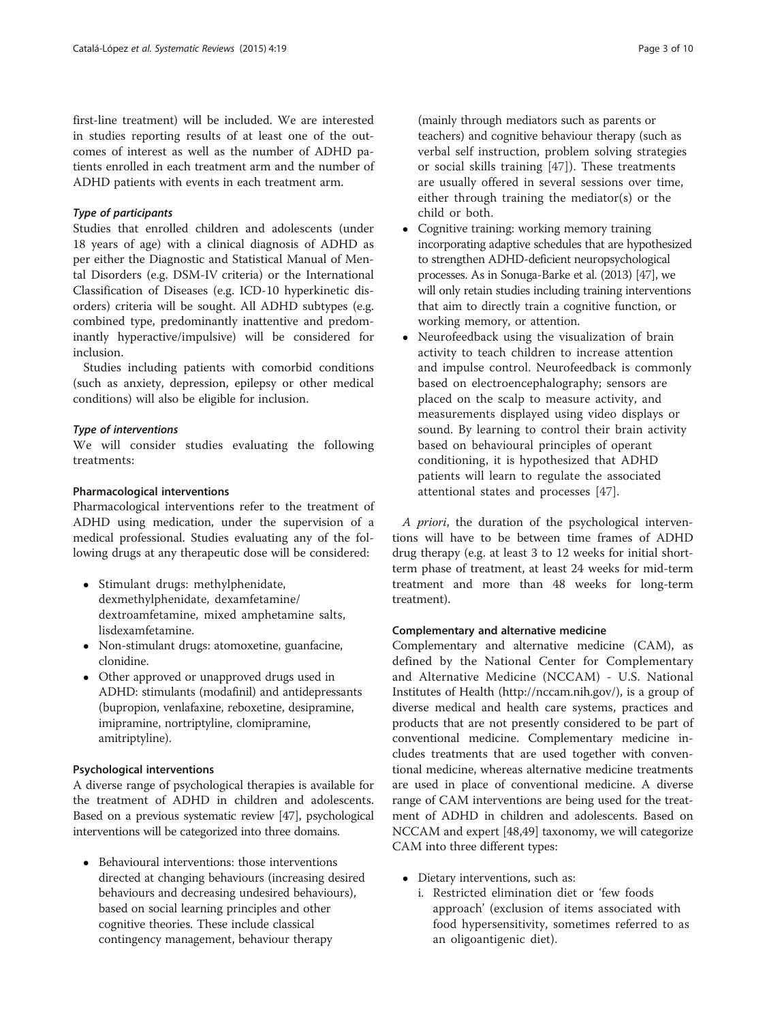first-line treatment) will be included. We are interested in studies reporting results of at least one of the outcomes of interest as well as the number of ADHD patients enrolled in each treatment arm and the number of ADHD patients with events in each treatment arm.

# Type of participants

Studies that enrolled children and adolescents (under 18 years of age) with a clinical diagnosis of ADHD as per either the Diagnostic and Statistical Manual of Mental Disorders (e.g. DSM-IV criteria) or the International Classification of Diseases (e.g. ICD-10 hyperkinetic disorders) criteria will be sought. All ADHD subtypes (e.g. combined type, predominantly inattentive and predominantly hyperactive/impulsive) will be considered for inclusion.

Studies including patients with comorbid conditions (such as anxiety, depression, epilepsy or other medical conditions) will also be eligible for inclusion.

# Type of interventions

We will consider studies evaluating the following treatments:

# Pharmacological interventions

Pharmacological interventions refer to the treatment of ADHD using medication, under the supervision of a medical professional. Studies evaluating any of the following drugs at any therapeutic dose will be considered:

- Stimulant drugs: methylphenidate, dexmethylphenidate, dexamfetamine/ dextroamfetamine, mixed amphetamine salts, lisdexamfetamine.
- Non-stimulant drugs: atomoxetine, guanfacine, clonidine.
- Other approved or unapproved drugs used in ADHD: stimulants (modafinil) and antidepressants (bupropion, venlafaxine, reboxetine, desipramine, imipramine, nortriptyline, clomipramine, amitriptyline).

# Psychological interventions

A diverse range of psychological therapies is available for the treatment of ADHD in children and adolescents. Based on a previous systematic review [[47](#page-8-0)], psychological interventions will be categorized into three domains.

 Behavioural interventions: those interventions directed at changing behaviours (increasing desired behaviours and decreasing undesired behaviours), based on social learning principles and other cognitive theories. These include classical contingency management, behaviour therapy

(mainly through mediators such as parents or teachers) and cognitive behaviour therapy (such as verbal self instruction, problem solving strategies or social skills training [[47\]](#page-8-0)). These treatments are usually offered in several sessions over time, either through training the mediator(s) or the child or both.

- Cognitive training: working memory training incorporating adaptive schedules that are hypothesized to strengthen ADHD-deficient neuropsychological processes. As in Sonuga-Barke et al. (2013) [[47](#page-8-0)], we will only retain studies including training interventions that aim to directly train a cognitive function, or working memory, or attention.
- Neurofeedback using the visualization of brain activity to teach children to increase attention and impulse control. Neurofeedback is commonly based on electroencephalography; sensors are placed on the scalp to measure activity, and measurements displayed using video displays or sound. By learning to control their brain activity based on behavioural principles of operant conditioning, it is hypothesized that ADHD patients will learn to regulate the associated attentional states and processes [[47\]](#page-8-0).

A priori, the duration of the psychological interventions will have to be between time frames of ADHD drug therapy (e.g. at least 3 to 12 weeks for initial shortterm phase of treatment, at least 24 weeks for mid-term treatment and more than 48 weeks for long-term treatment).

# Complementary and alternative medicine

Complementary and alternative medicine (CAM), as defined by the National Center for Complementary and Alternative Medicine (NCCAM) - U.S. National Institutes of Health [\(http://nccam.nih.gov/](http://nccam.nih.gov/)), is a group of diverse medical and health care systems, practices and products that are not presently considered to be part of conventional medicine. Complementary medicine includes treatments that are used together with conventional medicine, whereas alternative medicine treatments are used in place of conventional medicine. A diverse range of CAM interventions are being used for the treatment of ADHD in children and adolescents. Based on NCCAM and expert [[48](#page-8-0),[49](#page-8-0)] taxonomy, we will categorize CAM into three different types:

- Dietary interventions, such as:
	- i. Restricted elimination diet or 'few foods approach' (exclusion of items associated with food hypersensitivity, sometimes referred to as an oligoantigenic diet).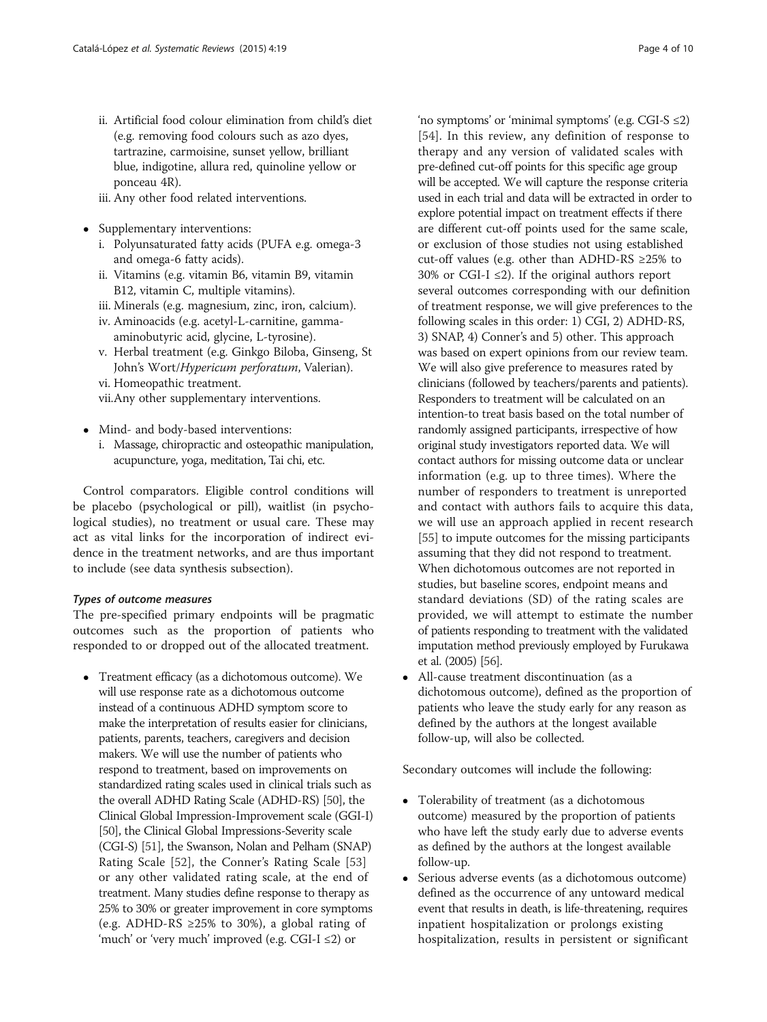- ii. Artificial food colour elimination from child's diet (e.g. removing food colours such as azo dyes, tartrazine, carmoisine, sunset yellow, brilliant blue, indigotine, allura red, quinoline yellow or ponceau 4R).
- iii. Any other food related interventions.
- Supplementary interventions:
	- i. Polyunsaturated fatty acids (PUFA e.g. omega-3 and omega-6 fatty acids).
	- ii. Vitamins (e.g. vitamin B6, vitamin B9, vitamin B12, vitamin C, multiple vitamins).
	- iii. Minerals (e.g. magnesium, zinc, iron, calcium).
	- iv. Aminoacids (e.g. acetyl-L-carnitine, gammaaminobutyric acid, glycine, L-tyrosine).
	- v. Herbal treatment (e.g. Ginkgo Biloba, Ginseng, St John's Wort/Hypericum perforatum, Valerian).
	- vi. Homeopathic treatment.

vii.Any other supplementary interventions.

- Mind- and body-based interventions:
	- i. Massage, chiropractic and osteopathic manipulation, acupuncture, yoga, meditation, Tai chi, etc.

Control comparators. Eligible control conditions will be placebo (psychological or pill), waitlist (in psychological studies), no treatment or usual care. These may act as vital links for the incorporation of indirect evidence in the treatment networks, and are thus important to include (see data synthesis subsection).

# Types of outcome measures

The pre-specified primary endpoints will be pragmatic outcomes such as the proportion of patients who responded to or dropped out of the allocated treatment.

 Treatment efficacy (as a dichotomous outcome). We will use response rate as a dichotomous outcome instead of a continuous ADHD symptom score to make the interpretation of results easier for clinicians, patients, parents, teachers, caregivers and decision makers. We will use the number of patients who respond to treatment, based on improvements on standardized rating scales used in clinical trials such as the overall ADHD Rating Scale (ADHD-RS) [[50](#page-8-0)], the Clinical Global Impression-Improvement scale (GGI-I) [[50](#page-8-0)], the Clinical Global Impressions-Severity scale (CGI-S) [[51](#page-8-0)], the Swanson, Nolan and Pelham (SNAP) Rating Scale [[52\]](#page-9-0), the Conner's Rating Scale [[53\]](#page-9-0) or any other validated rating scale, at the end of treatment. Many studies define response to therapy as 25% to 30% or greater improvement in core symptoms (e.g. ADHD-RS ≥25% to 30%), a global rating of 'much' or 'very much' improved (e.g. CGI-I ≤2) or

'no symptoms' or 'minimal symptoms' (e.g. CGI-S  $\leq$ 2) [[54\]](#page-9-0). In this review, any definition of response to therapy and any version of validated scales with pre-defined cut-off points for this specific age group will be accepted. We will capture the response criteria used in each trial and data will be extracted in order to explore potential impact on treatment effects if there are different cut-off points used for the same scale, or exclusion of those studies not using established cut-off values (e.g. other than ADHD-RS ≥25% to 30% or CGI-I  $\leq$ 2). If the original authors report several outcomes corresponding with our definition of treatment response, we will give preferences to the following scales in this order: 1) CGI, 2) ADHD-RS, 3) SNAP, 4) Conner's and 5) other. This approach was based on expert opinions from our review team. We will also give preference to measures rated by clinicians (followed by teachers/parents and patients). Responders to treatment will be calculated on an intention-to treat basis based on the total number of randomly assigned participants, irrespective of how original study investigators reported data. We will contact authors for missing outcome data or unclear information (e.g. up to three times). Where the number of responders to treatment is unreported and contact with authors fails to acquire this data, we will use an approach applied in recent research [[55](#page-9-0)] to impute outcomes for the missing participants assuming that they did not respond to treatment. When dichotomous outcomes are not reported in studies, but baseline scores, endpoint means and standard deviations (SD) of the rating scales are provided, we will attempt to estimate the number of patients responding to treatment with the validated imputation method previously employed by Furukawa et al. (2005) [\[56](#page-9-0)].

 All-cause treatment discontinuation (as a dichotomous outcome), defined as the proportion of patients who leave the study early for any reason as defined by the authors at the longest available follow-up, will also be collected.

Secondary outcomes will include the following:

- Tolerability of treatment (as a dichotomous outcome) measured by the proportion of patients who have left the study early due to adverse events as defined by the authors at the longest available follow-up.
- Serious adverse events (as a dichotomous outcome) defined as the occurrence of any untoward medical event that results in death, is life-threatening, requires inpatient hospitalization or prolongs existing hospitalization, results in persistent or significant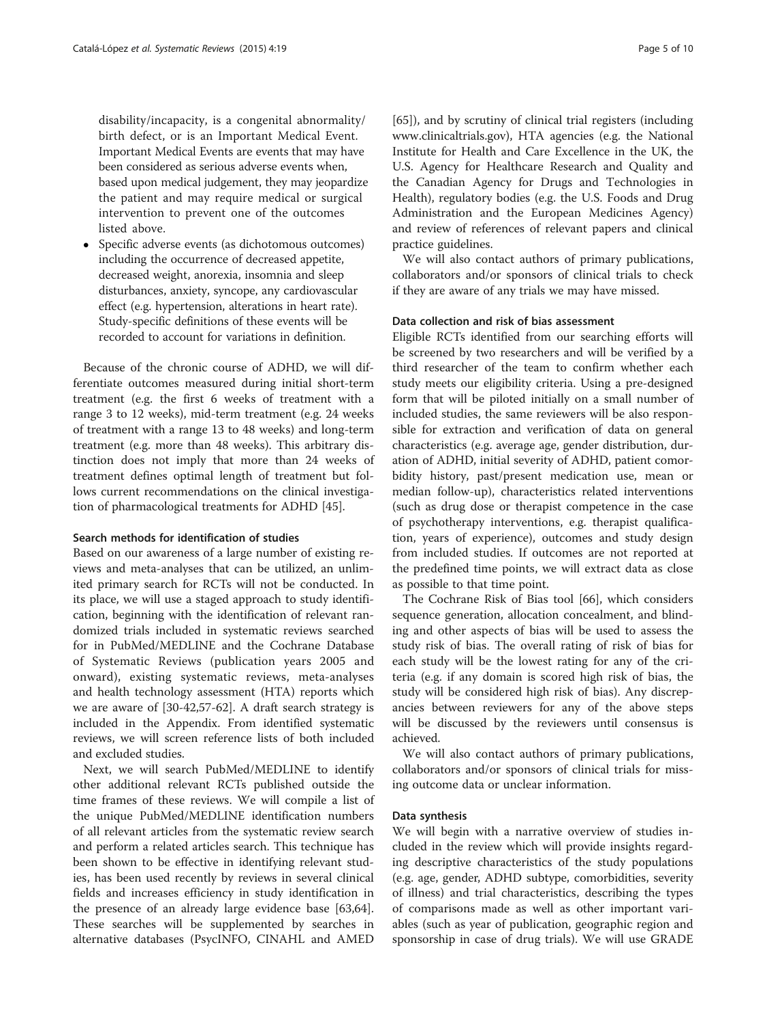disability/incapacity, is a congenital abnormality/ birth defect, or is an Important Medical Event. Important Medical Events are events that may have been considered as serious adverse events when, based upon medical judgement, they may jeopardize the patient and may require medical or surgical intervention to prevent one of the outcomes listed above.

 Specific adverse events (as dichotomous outcomes) including the occurrence of decreased appetite, decreased weight, anorexia, insomnia and sleep disturbances, anxiety, syncope, any cardiovascular effect (e.g. hypertension, alterations in heart rate). Study-specific definitions of these events will be recorded to account for variations in definition.

Because of the chronic course of ADHD, we will differentiate outcomes measured during initial short-term treatment (e.g. the first 6 weeks of treatment with a range 3 to 12 weeks), mid-term treatment (e.g. 24 weeks of treatment with a range 13 to 48 weeks) and long-term treatment (e.g. more than 48 weeks). This arbitrary distinction does not imply that more than 24 weeks of treatment defines optimal length of treatment but follows current recommendations on the clinical investigation of pharmacological treatments for ADHD [\[45\]](#page-8-0).

#### Search methods for identification of studies

Based on our awareness of a large number of existing reviews and meta-analyses that can be utilized, an unlimited primary search for RCTs will not be conducted. In its place, we will use a staged approach to study identification, beginning with the identification of relevant randomized trials included in systematic reviews searched for in PubMed/MEDLINE and the Cochrane Database of Systematic Reviews (publication years 2005 and onward), existing systematic reviews, meta-analyses and health technology assessment (HTA) reports which we are aware of [\[30-42](#page-8-0)[,57](#page-9-0)-[62\]](#page-9-0). A draft search strategy is included in the [Appendix](#page-6-0). From identified systematic reviews, we will screen reference lists of both included and excluded studies.

Next, we will search PubMed/MEDLINE to identify other additional relevant RCTs published outside the time frames of these reviews. We will compile a list of the unique PubMed/MEDLINE identification numbers of all relevant articles from the systematic review search and perform a related articles search. This technique has been shown to be effective in identifying relevant studies, has been used recently by reviews in several clinical fields and increases efficiency in study identification in the presence of an already large evidence base [\[63,64](#page-9-0)]. These searches will be supplemented by searches in alternative databases (PsycINFO, CINAHL and AMED

[[65\]](#page-9-0)), and by scrutiny of clinical trial registers (including [www.clinicaltrials.gov\)](http://www.clinicaltrials.gov), HTA agencies (e.g. the National Institute for Health and Care Excellence in the UK, the U.S. Agency for Healthcare Research and Quality and the Canadian Agency for Drugs and Technologies in Health), regulatory bodies (e.g. the U.S. Foods and Drug Administration and the European Medicines Agency) and review of references of relevant papers and clinical practice guidelines.

We will also contact authors of primary publications, collaborators and/or sponsors of clinical trials to check if they are aware of any trials we may have missed.

#### Data collection and risk of bias assessment

Eligible RCTs identified from our searching efforts will be screened by two researchers and will be verified by a third researcher of the team to confirm whether each study meets our eligibility criteria. Using a pre-designed form that will be piloted initially on a small number of included studies, the same reviewers will be also responsible for extraction and verification of data on general characteristics (e.g. average age, gender distribution, duration of ADHD, initial severity of ADHD, patient comorbidity history, past/present medication use, mean or median follow-up), characteristics related interventions (such as drug dose or therapist competence in the case of psychotherapy interventions, e.g. therapist qualification, years of experience), outcomes and study design from included studies. If outcomes are not reported at the predefined time points, we will extract data as close as possible to that time point.

The Cochrane Risk of Bias tool [[66\]](#page-9-0), which considers sequence generation, allocation concealment, and blinding and other aspects of bias will be used to assess the study risk of bias. The overall rating of risk of bias for each study will be the lowest rating for any of the criteria (e.g. if any domain is scored high risk of bias, the study will be considered high risk of bias). Any discrepancies between reviewers for any of the above steps will be discussed by the reviewers until consensus is achieved.

We will also contact authors of primary publications, collaborators and/or sponsors of clinical trials for missing outcome data or unclear information.

# Data synthesis

We will begin with a narrative overview of studies included in the review which will provide insights regarding descriptive characteristics of the study populations (e.g. age, gender, ADHD subtype, comorbidities, severity of illness) and trial characteristics, describing the types of comparisons made as well as other important variables (such as year of publication, geographic region and sponsorship in case of drug trials). We will use GRADE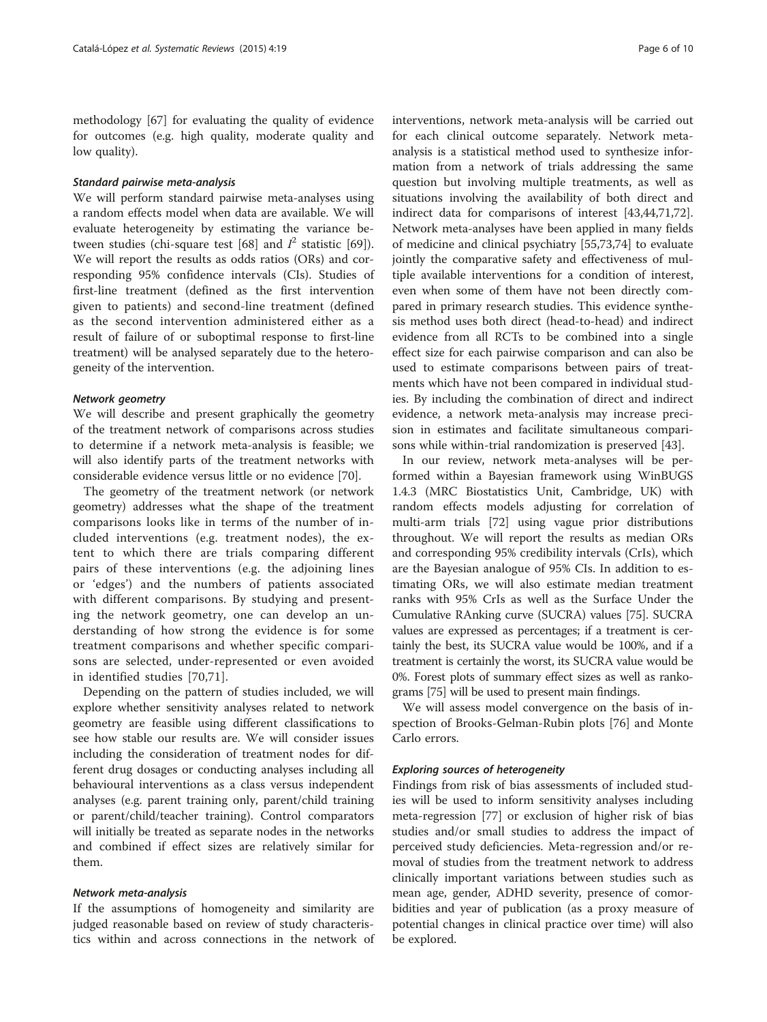methodology [\[67\]](#page-9-0) for evaluating the quality of evidence for outcomes (e.g. high quality, moderate quality and low quality).

#### Standard pairwise meta-analysis

We will perform standard pairwise meta-analyses using a random effects model when data are available. We will evaluate heterogeneity by estimating the variance be-tween studies (chi-square test [[68\]](#page-9-0) and  $I^2$  statistic [\[69](#page-9-0)]). We will report the results as odds ratios (ORs) and corresponding 95% confidence intervals (CIs). Studies of first-line treatment (defined as the first intervention given to patients) and second-line treatment (defined as the second intervention administered either as a result of failure of or suboptimal response to first-line treatment) will be analysed separately due to the heterogeneity of the intervention.

#### Network geometry

We will describe and present graphically the geometry of the treatment network of comparisons across studies to determine if a network meta-analysis is feasible; we will also identify parts of the treatment networks with considerable evidence versus little or no evidence [[70](#page-9-0)].

The geometry of the treatment network (or network geometry) addresses what the shape of the treatment comparisons looks like in terms of the number of included interventions (e.g. treatment nodes), the extent to which there are trials comparing different pairs of these interventions (e.g. the adjoining lines or 'edges') and the numbers of patients associated with different comparisons. By studying and presenting the network geometry, one can develop an understanding of how strong the evidence is for some treatment comparisons and whether specific comparisons are selected, under-represented or even avoided in identified studies [\[70](#page-9-0),[71\]](#page-9-0).

Depending on the pattern of studies included, we will explore whether sensitivity analyses related to network geometry are feasible using different classifications to see how stable our results are. We will consider issues including the consideration of treatment nodes for different drug dosages or conducting analyses including all behavioural interventions as a class versus independent analyses (e.g. parent training only, parent/child training or parent/child/teacher training). Control comparators will initially be treated as separate nodes in the networks and combined if effect sizes are relatively similar for them.

### Network meta-analysis

If the assumptions of homogeneity and similarity are judged reasonable based on review of study characteristics within and across connections in the network of interventions, network meta-analysis will be carried out for each clinical outcome separately. Network metaanalysis is a statistical method used to synthesize information from a network of trials addressing the same question but involving multiple treatments, as well as situations involving the availability of both direct and indirect data for comparisons of interest [[43](#page-8-0),[44](#page-8-0)[,71,72](#page-9-0)]. Network meta-analyses have been applied in many fields of medicine and clinical psychiatry [[55,73,74\]](#page-9-0) to evaluate jointly the comparative safety and effectiveness of multiple available interventions for a condition of interest, even when some of them have not been directly compared in primary research studies. This evidence synthesis method uses both direct (head-to-head) and indirect evidence from all RCTs to be combined into a single effect size for each pairwise comparison and can also be used to estimate comparisons between pairs of treatments which have not been compared in individual studies. By including the combination of direct and indirect evidence, a network meta-analysis may increase precision in estimates and facilitate simultaneous comparisons while within-trial randomization is preserved [[43](#page-8-0)].

In our review, network meta-analyses will be performed within a Bayesian framework using WinBUGS 1.4.3 (MRC Biostatistics Unit, Cambridge, UK) with random effects models adjusting for correlation of multi-arm trials [[72](#page-9-0)] using vague prior distributions throughout. We will report the results as median ORs and corresponding 95% credibility intervals (CrIs), which are the Bayesian analogue of 95% CIs. In addition to estimating ORs, we will also estimate median treatment ranks with 95% CrIs as well as the Surface Under the Cumulative RAnking curve (SUCRA) values [\[75\]](#page-9-0). SUCRA values are expressed as percentages; if a treatment is certainly the best, its SUCRA value would be 100%, and if a treatment is certainly the worst, its SUCRA value would be 0%. Forest plots of summary effect sizes as well as rankograms [\[75\]](#page-9-0) will be used to present main findings.

We will assess model convergence on the basis of inspection of Brooks-Gelman-Rubin plots [\[76](#page-9-0)] and Monte Carlo errors.

# Exploring sources of heterogeneity

Findings from risk of bias assessments of included studies will be used to inform sensitivity analyses including meta-regression [\[77](#page-9-0)] or exclusion of higher risk of bias studies and/or small studies to address the impact of perceived study deficiencies. Meta-regression and/or removal of studies from the treatment network to address clinically important variations between studies such as mean age, gender, ADHD severity, presence of comorbidities and year of publication (as a proxy measure of potential changes in clinical practice over time) will also be explored.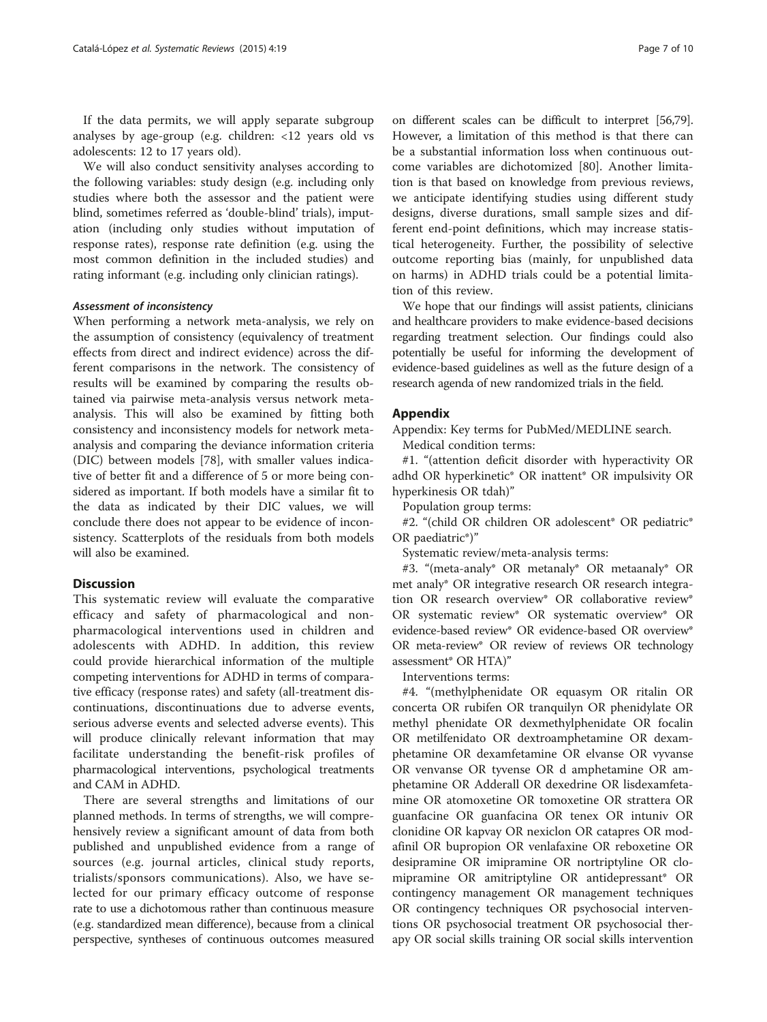<span id="page-6-0"></span>If the data permits, we will apply separate subgroup analyses by age-group (e.g. children: <12 years old vs adolescents: 12 to 17 years old).

We will also conduct sensitivity analyses according to the following variables: study design (e.g. including only studies where both the assessor and the patient were blind, sometimes referred as 'double-blind' trials), imputation (including only studies without imputation of response rates), response rate definition (e.g. using the most common definition in the included studies) and rating informant (e.g. including only clinician ratings).

#### Assessment of inconsistency

When performing a network meta-analysis, we rely on the assumption of consistency (equivalency of treatment effects from direct and indirect evidence) across the different comparisons in the network. The consistency of results will be examined by comparing the results obtained via pairwise meta-analysis versus network metaanalysis. This will also be examined by fitting both consistency and inconsistency models for network metaanalysis and comparing the deviance information criteria (DIC) between models [\[78](#page-9-0)], with smaller values indicative of better fit and a difference of 5 or more being considered as important. If both models have a similar fit to the data as indicated by their DIC values, we will conclude there does not appear to be evidence of inconsistency. Scatterplots of the residuals from both models will also be examined.

# Discussion

This systematic review will evaluate the comparative efficacy and safety of pharmacological and nonpharmacological interventions used in children and adolescents with ADHD. In addition, this review could provide hierarchical information of the multiple competing interventions for ADHD in terms of comparative efficacy (response rates) and safety (all-treatment discontinuations, discontinuations due to adverse events, serious adverse events and selected adverse events). This will produce clinically relevant information that may facilitate understanding the benefit-risk profiles of pharmacological interventions, psychological treatments and CAM in ADHD.

There are several strengths and limitations of our planned methods. In terms of strengths, we will comprehensively review a significant amount of data from both published and unpublished evidence from a range of sources (e.g. journal articles, clinical study reports, trialists/sponsors communications). Also, we have selected for our primary efficacy outcome of response rate to use a dichotomous rather than continuous measure (e.g. standardized mean difference), because from a clinical perspective, syntheses of continuous outcomes measured

on different scales can be difficult to interpret [\[56,79](#page-9-0)]. However, a limitation of this method is that there can be a substantial information loss when continuous outcome variables are dichotomized [[80\]](#page-9-0). Another limitation is that based on knowledge from previous reviews, we anticipate identifying studies using different study designs, diverse durations, small sample sizes and different end-point definitions, which may increase statistical heterogeneity. Further, the possibility of selective outcome reporting bias (mainly, for unpublished data on harms) in ADHD trials could be a potential limitation of this review.

We hope that our findings will assist patients, clinicians and healthcare providers to make evidence-based decisions regarding treatment selection. Our findings could also potentially be useful for informing the development of evidence-based guidelines as well as the future design of a research agenda of new randomized trials in the field.

### Appendix

Appendix: Key terms for PubMed/MEDLINE search.

Medical condition terms:

#1. "(attention deficit disorder with hyperactivity OR adhd OR hyperkinetic\* OR inattent\* OR impulsivity OR hyperkinesis OR tdah)"

Population group terms:

#2. "(child OR children OR adolescent\* OR pediatric\* OR paediatric\*)"

Systematic review/meta-analysis terms:

#3. "(meta-analy\* OR metanaly\* OR metaanaly\* OR met analy\* OR integrative research OR research integration OR research overview\* OR collaborative review\* OR systematic review\* OR systematic overview\* OR evidence-based review\* OR evidence-based OR overview\* OR meta-review\* OR review of reviews OR technology assessment\* OR HTA)"

Interventions terms:

#4. "(methylphenidate OR equasym OR ritalin OR concerta OR rubifen OR tranquilyn OR phenidylate OR methyl phenidate OR dexmethylphenidate OR focalin OR metilfenidato OR dextroamphetamine OR dexamphetamine OR dexamfetamine OR elvanse OR vyvanse OR venvanse OR tyvense OR d amphetamine OR amphetamine OR Adderall OR dexedrine OR lisdexamfetamine OR atomoxetine OR tomoxetine OR strattera OR guanfacine OR guanfacina OR tenex OR intuniv OR clonidine OR kapvay OR nexiclon OR catapres OR modafinil OR bupropion OR venlafaxine OR reboxetine OR desipramine OR imipramine OR nortriptyline OR clomipramine OR amitriptyline OR antidepressant\* OR contingency management OR management techniques OR contingency techniques OR psychosocial interventions OR psychosocial treatment OR psychosocial therapy OR social skills training OR social skills intervention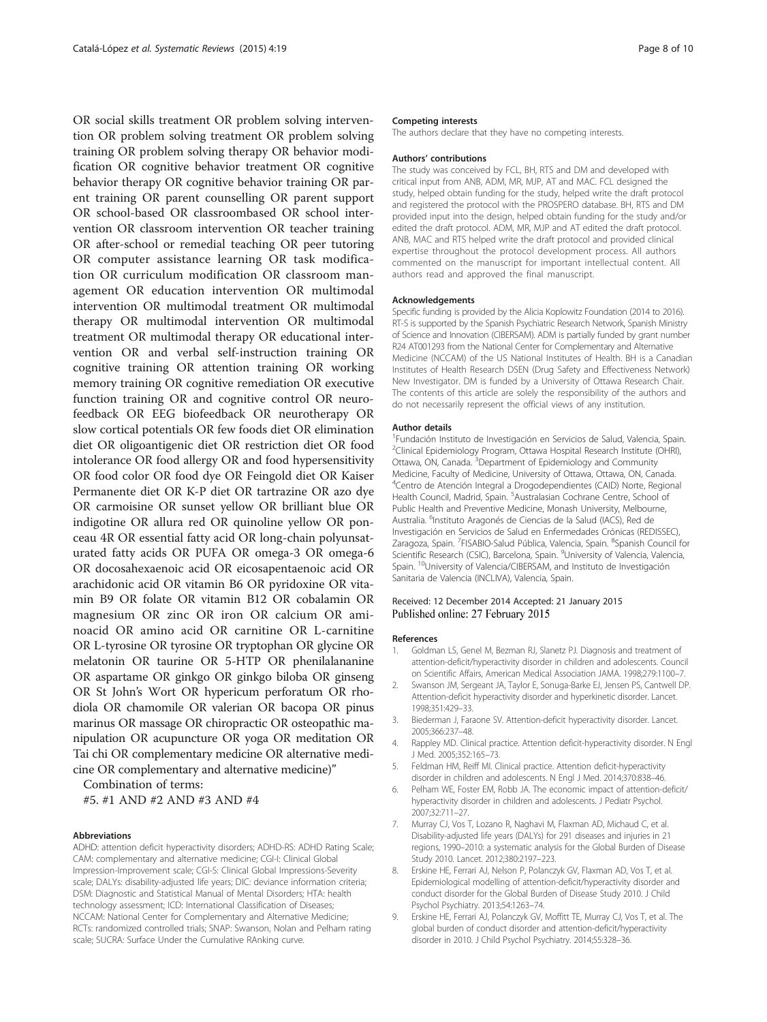<span id="page-7-0"></span>OR social skills treatment OR problem solving intervention OR problem solving treatment OR problem solving training OR problem solving therapy OR behavior modification OR cognitive behavior treatment OR cognitive behavior therapy OR cognitive behavior training OR parent training OR parent counselling OR parent support OR school-based OR classroombased OR school intervention OR classroom intervention OR teacher training OR after-school or remedial teaching OR peer tutoring OR computer assistance learning OR task modification OR curriculum modification OR classroom management OR education intervention OR multimodal intervention OR multimodal treatment OR multimodal therapy OR multimodal intervention OR multimodal treatment OR multimodal therapy OR educational intervention OR and verbal self-instruction training OR cognitive training OR attention training OR working memory training OR cognitive remediation OR executive function training OR and cognitive control OR neurofeedback OR EEG biofeedback OR neurotherapy OR slow cortical potentials OR few foods diet OR elimination diet OR oligoantigenic diet OR restriction diet OR food intolerance OR food allergy OR and food hypersensitivity OR food color OR food dye OR Feingold diet OR Kaiser Permanente diet OR K-P diet OR tartrazine OR azo dye OR carmoisine OR sunset yellow OR brilliant blue OR indigotine OR allura red OR quinoline yellow OR ponceau 4R OR essential fatty acid OR long-chain polyunsaturated fatty acids OR PUFA OR omega-3 OR omega-6 OR docosahexaenoic acid OR eicosapentaenoic acid OR arachidonic acid OR vitamin B6 OR pyridoxine OR vitamin B9 OR folate OR vitamin B12 OR cobalamin OR magnesium OR zinc OR iron OR calcium OR aminoacid OR amino acid OR carnitine OR L-carnitine OR L-tyrosine OR tyrosine OR tryptophan OR glycine OR melatonin OR taurine OR 5-HTP OR phenilalananine OR aspartame OR ginkgo OR ginkgo biloba OR ginseng OR St John's Wort OR hypericum perforatum OR rhodiola OR chamomile OR valerian OR bacopa OR pinus marinus OR massage OR chiropractic OR osteopathic manipulation OR acupuncture OR yoga OR meditation OR Tai chi OR complementary medicine OR alternative medicine OR complementary and alternative medicine)"

Combination of terms:

#5. #1 AND #2 AND #3 AND #4

#### Abbreviations

ADHD: attention deficit hyperactivity disorders; ADHD-RS: ADHD Rating Scale; CAM: complementary and alternative medicine; CGI-I: Clinical Global Impression-Improvement scale; CGI-S: Clinical Global Impressions-Severity scale; DALYs: disability-adjusted life years; DIC: deviance information criteria; DSM: Diagnostic and Statistical Manual of Mental Disorders; HTA: health technology assessment; ICD: International Classification of Diseases; NCCAM: National Center for Complementary and Alternative Medicine; RCTs: randomized controlled trials; SNAP: Swanson, Nolan and Pelham rating scale; SUCRA: Surface Under the Cumulative RAnking curve.

#### Competing interests

The authors declare that they have no competing interests.

#### Authors' contributions

The study was conceived by FCL, BH, RTS and DM and developed with critical input from ANB, ADM, MR, MJP, AT and MAC. FCL designed the study, helped obtain funding for the study, helped write the draft protocol and registered the protocol with the PROSPERO database. BH, RTS and DM provided input into the design, helped obtain funding for the study and/or edited the draft protocol. ADM, MR, MJP and AT edited the draft protocol. ANB, MAC and RTS helped write the draft protocol and provided clinical expertise throughout the protocol development process. All authors commented on the manuscript for important intellectual content. All authors read and approved the final manuscript.

#### Acknowledgements

Specific funding is provided by the Alicia Koplowitz Foundation (2014 to 2016). RT-S is supported by the Spanish Psychiatric Research Network, Spanish Ministry of Science and Innovation (CIBERSAM). ADM is partially funded by grant number R24 AT001293 from the National Center for Complementary and Alternative Medicine (NCCAM) of the US National Institutes of Health. BH is a Canadian Institutes of Health Research DSEN (Drug Safety and Effectiveness Network) New Investigator. DM is funded by a University of Ottawa Research Chair. The contents of this article are solely the responsibility of the authors and do not necessarily represent the official views of any institution.

#### Author details

<sup>1</sup> Fundación Instituto de Investigación en Servicios de Salud, Valencia, Spain. <sup>2</sup>Clinical Epidemiology Program, Ottawa Hospital Research Institute (OHRI) Ottawa, ON, Canada. <sup>3</sup>Department of Epidemiology and Community Medicine, Faculty of Medicine, University of Ottawa, Ottawa, ON, Canada. 4 Centro de Atención Integral a Drogodependientes (CAID) Norte, Regional Health Council, Madrid, Spain. <sup>5</sup> Australasian Cochrane Centre, School of Public Health and Preventive Medicine, Monash University, Melbourne, Australia. <sup>6</sup>Instituto Aragonés de Ciencias de la Salud (IACS), Red de Investigación en Servicios de Salud en Enfermedades Crónicas (REDISSEC), Zaragoza, Spain. <sup>7</sup>FISABIO-Salud Pública, Valencia, Spain. <sup>8</sup>Spanish Council for Scientific Research (CSIC), Barcelona, Spain. <sup>9</sup>University of Valencia, Valencia, Spain. <sup>10</sup>University of Valencia/CIBERSAM, and Instituto de Investigación Sanitaria de Valencia (INCLIVA), Valencia, Spain.

#### Received: 12 December 2014 Accepted: 21 January 2015 Published online: 27 February 2015

#### References

- 1. Goldman LS, Genel M, Bezman RJ, Slanetz PJ. Diagnosis and treatment of attention-deficit/hyperactivity disorder in children and adolescents. Council on Scientific Affairs, American Medical Association JAMA. 1998;279:1100–7.
- 2. Swanson JM, Sergeant JA, Taylor E, Sonuga-Barke EJ, Jensen PS, Cantwell DP. Attention-deficit hyperactivity disorder and hyperkinetic disorder. Lancet. 1998;351:429–33.
- 3. Biederman J, Faraone SV. Attention-deficit hyperactivity disorder. Lancet. 2005;366:237–48.
- 4. Rappley MD. Clinical practice. Attention deficit-hyperactivity disorder. N Engl J Med. 2005;352:165–73.
- 5. Feldman HM, Reiff MI. Clinical practice. Attention deficit-hyperactivity disorder in children and adolescents. N Engl J Med. 2014;370:838–46.
- 6. Pelham WE, Foster EM, Robb JA. The economic impact of attention-deficit/ hyperactivity disorder in children and adolescents. J Pediatr Psychol. 2007;32:711–27.
- 7. Murray CJ, Vos T, Lozano R, Naghavi M, Flaxman AD, Michaud C, et al. Disability-adjusted life years (DALYs) for 291 diseases and injuries in 21 regions, 1990–2010: a systematic analysis for the Global Burden of Disease Study 2010. Lancet. 2012;380:2197–223.
- 8. Erskine HE, Ferrari AJ, Nelson P, Polanczyk GV, Flaxman AD, Vos T, et al. Epidemiological modelling of attention-deficit/hyperactivity disorder and conduct disorder for the Global Burden of Disease Study 2010. J Child Psychol Psychiatry. 2013;54:1263–74.
- 9. Erskine HE, Ferrari AJ, Polanczyk GV, Moffitt TE, Murray CJ, Vos T, et al. The global burden of conduct disorder and attention-deficit/hyperactivity disorder in 2010. J Child Psychol Psychiatry. 2014;55:328–36.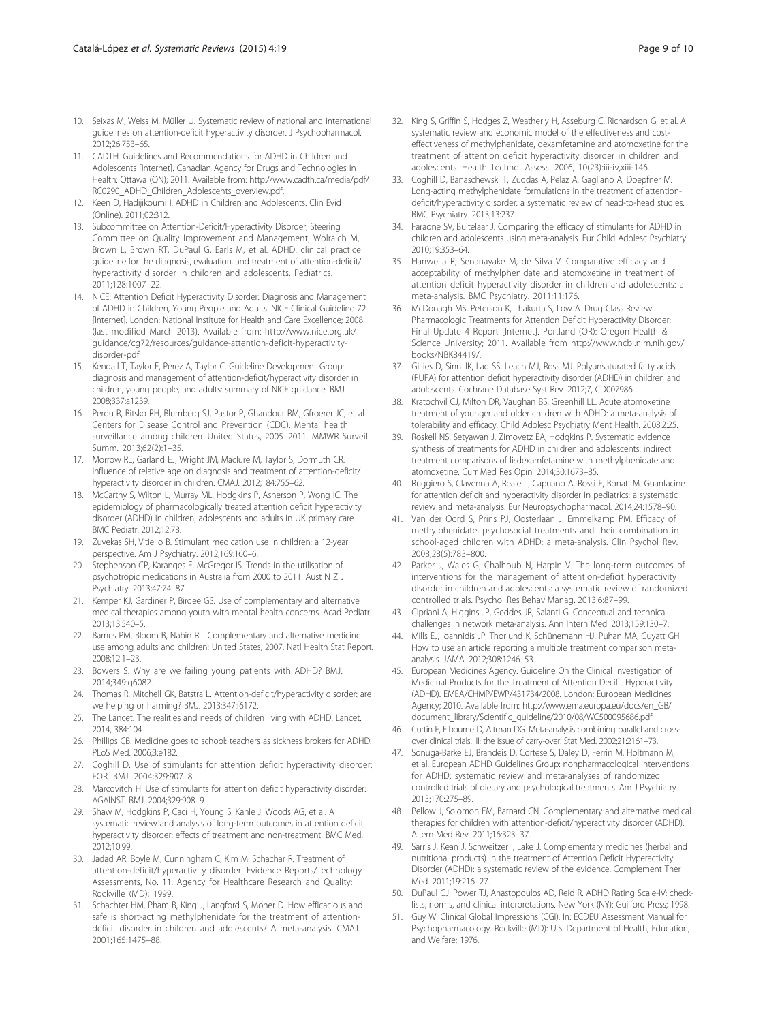- <span id="page-8-0"></span>10. Seixas M, Weiss M, Müller U. Systematic review of national and international guidelines on attention-deficit hyperactivity disorder. J Psychopharmacol. 2012;26:753–65.
- 11. CADTH. Guidelines and Recommendations for ADHD in Children and Adolescents [Internet]. Canadian Agency for Drugs and Technologies in Health: Ottawa (ON); 2011. Available from: [http://www.cadth.ca/media/pdf/](http://www.cadth.ca/media/pdf/RC0290_ADHD_Children_Adolescents_overview.pdf) [RC0290\\_ADHD\\_Children\\_Adolescents\\_overview.pdf.](http://www.cadth.ca/media/pdf/RC0290_ADHD_Children_Adolescents_overview.pdf)
- 12. Keen D, Hadijikoumi I. ADHD in Children and Adolescents. Clin Evid (Online). 2011;02:312.
- 13. Subcommittee on Attention-Deficit/Hyperactivity Disorder; Steering Committee on Quality Improvement and Management, Wolraich M, Brown L, Brown RT, DuPaul G, Earls M, et al. ADHD: clinical practice guideline for the diagnosis, evaluation, and treatment of attention-deficit/ hyperactivity disorder in children and adolescents. Pediatrics. 2011;128:1007–22.
- 14. NICE: Attention Deficit Hyperactivity Disorder: Diagnosis and Management of ADHD in Children, Young People and Adults. NICE Clinical Guideline 72 [Internet]. London: National Institute for Health and Care Excellence; 2008 (last modified March 2013). Available from: [http://www.nice.org.uk/](http://www.nice.org.uk/guidance/cg72/resources/guidance-attention-deficit-hyperactivity-disorder-pdf) [guidance/cg72/resources/guidance-attention-deficit-hyperactivity](http://www.nice.org.uk/guidance/cg72/resources/guidance-attention-deficit-hyperactivity-disorder-pdf)[disorder-pdf](http://www.nice.org.uk/guidance/cg72/resources/guidance-attention-deficit-hyperactivity-disorder-pdf)
- 15. Kendall T, Taylor E, Perez A, Taylor C. Guideline Development Group: diagnosis and management of attention-deficit/hyperactivity disorder in children, young people, and adults: summary of NICE guidance. BMJ. 2008;337:a1239.
- 16. Perou R, Bitsko RH, Blumberg SJ, Pastor P, Ghandour RM, Gfroerer JC, et al. Centers for Disease Control and Prevention (CDC). Mental health surveillance among children–United States, 2005–2011. MMWR Surveill Summ. 2013;62(2):1–35.
- 17. Morrow RL, Garland EJ, Wright JM, Maclure M, Taylor S, Dormuth CR. Influence of relative age on diagnosis and treatment of attention-deficit/ hyperactivity disorder in children. CMAJ. 2012;184:755–62.
- 18. McCarthy S, Wilton L, Murray ML, Hodgkins P, Asherson P, Wong IC. The epidemiology of pharmacologically treated attention deficit hyperactivity disorder (ADHD) in children, adolescents and adults in UK primary care. BMC Pediatr. 2012;12:78.
- 19. Zuvekas SH, Vitiello B. Stimulant medication use in children: a 12-year perspective. Am J Psychiatry. 2012;169:160–6.
- 20. Stephenson CP, Karanges E, McGregor IS. Trends in the utilisation of psychotropic medications in Australia from 2000 to 2011. Aust N Z J Psychiatry. 2013;47:74–87.
- 21. Kemper KJ, Gardiner P, Birdee GS. Use of complementary and alternative medical therapies among youth with mental health concerns. Acad Pediatr. 2013;13:540–5.
- 22. Barnes PM, Bloom B, Nahin RL. Complementary and alternative medicine use among adults and children: United States, 2007. Natl Health Stat Report. 2008;12:1–23.
- 23. Bowers S. Why are we failing young patients with ADHD? BMJ. 2014;349:g6082.
- 24. Thomas R, Mitchell GK, Batstra L. Attention-deficit/hyperactivity disorder: are we helping or harming? BMJ. 2013;347:f6172.
- 25. The Lancet. The realities and needs of children living with ADHD. Lancet. 2014, 384:104
- 26. Phillips CB. Medicine goes to school: teachers as sickness brokers for ADHD. PLoS Med. 2006;3:e182.
- 27. Coghill D. Use of stimulants for attention deficit hyperactivity disorder: FOR. BMJ. 2004;329:907–8.
- 28. Marcovitch H. Use of stimulants for attention deficit hyperactivity disorder: AGAINST. BMJ. 2004;329:908–9.
- 29. Shaw M, Hodgkins P, Caci H, Young S, Kahle J, Woods AG, et al. A systematic review and analysis of long-term outcomes in attention deficit hyperactivity disorder: effects of treatment and non-treatment. BMC Med. 2012;10:99.
- 30. Jadad AR, Boyle M, Cunningham C, Kim M, Schachar R. Treatment of attention-deficit/hyperactivity disorder. Evidence Reports/Technology Assessments, No. 11. Agency for Healthcare Research and Quality: Rockville (MD); 1999.
- 31. Schachter HM, Pham B, King J, Langford S, Moher D. How efficacious and safe is short-acting methylphenidate for the treatment of attentiondeficit disorder in children and adolescents? A meta-analysis. CMAJ. 2001;165:1475–88.
- 32. King S, Griffin S, Hodges Z, Weatherly H, Asseburg C, Richardson G, et al. A systematic review and economic model of the effectiveness and costeffectiveness of methylphenidate, dexamfetamine and atomoxetine for the treatment of attention deficit hyperactivity disorder in children and adolescents. Health Technol Assess. 2006, 10(23):iii-iv,xiii-146.
- 33. Coghill D, Banaschewski T, Zuddas A, Pelaz A, Gagliano A, Doepfner M. Long-acting methylphenidate formulations in the treatment of attentiondeficit/hyperactivity disorder: a systematic review of head-to-head studies. BMC Psychiatry. 2013;13:237.
- 34. Faraone SV, Buitelaar J. Comparing the efficacy of stimulants for ADHD in children and adolescents using meta-analysis. Eur Child Adolesc Psychiatry. 2010;19:353–64.
- 35. Hanwella R, Senanayake M, de Silva V. Comparative efficacy and acceptability of methylphenidate and atomoxetine in treatment of attention deficit hyperactivity disorder in children and adolescents: a meta-analysis. BMC Psychiatry. 2011;11:176.
- 36. McDonagh MS, Peterson K, Thakurta S, Low A. Drug Class Review: Pharmacologic Treatments for Attention Deficit Hyperactivity Disorder: Final Update 4 Report [Internet]. Portland (OR): Oregon Health & Science University; 2011. Available from [http://www.ncbi.nlm.nih.gov/](http://www.ncbi.nlm.nih.gov/books/NBK84419/) [books/NBK84419/](http://www.ncbi.nlm.nih.gov/books/NBK84419/).
- 37. Gillies D, Sinn JK, Lad SS, Leach MJ, Ross MJ. Polyunsaturated fatty acids (PUFA) for attention deficit hyperactivity disorder (ADHD) in children and adolescents. Cochrane Database Syst Rev. 2012;7, CD007986.
- 38. Kratochvil CJ, Milton DR, Vaughan BS, Greenhill LL. Acute atomoxetine treatment of younger and older children with ADHD: a meta-analysis of tolerability and efficacy. Child Adolesc Psychiatry Ment Health. 2008;2:25.
- 39. Roskell NS, Setyawan J, Zimovetz EA, Hodgkins P. Systematic evidence synthesis of treatments for ADHD in children and adolescents: indirect treatment comparisons of lisdexamfetamine with methylphenidate and atomoxetine. Curr Med Res Opin. 2014;30:1673–85.
- 40. Ruggiero S, Clavenna A, Reale L, Capuano A, Rossi F, Bonati M. Guanfacine for attention deficit and hyperactivity disorder in pediatrics: a systematic review and meta-analysis. Eur Neuropsychopharmacol. 2014;24:1578–90.
- 41. Van der Oord S, Prins PJ, Oosterlaan J, Emmelkamp PM. Efficacy of methylphenidate, psychosocial treatments and their combination in school-aged children with ADHD: a meta-analysis. Clin Psychol Rev. 2008;28(5):783–800.
- 42. Parker J, Wales G, Chalhoub N, Harpin V. The long-term outcomes of interventions for the management of attention-deficit hyperactivity disorder in children and adolescents: a systematic review of randomized controlled trials. Psychol Res Behav Manag. 2013;6:87–99.
- 43. Cipriani A, Higgins JP, Geddes JR, Salanti G. Conceptual and technical challenges in network meta-analysis. Ann Intern Med. 2013;159:130–7.
- 44. Mills EJ, Ioannidis JP, Thorlund K, Schünemann HJ, Puhan MA, Guyatt GH. How to use an article reporting a multiple treatment comparison metaanalysis. JAMA. 2012;308:1246–53.
- 45. European Medicines Agency. Guideline On the Clinical Investigation of Medicinal Products for the Treatment of Attention Decifit Hyperactivity (ADHD). EMEA/CHMP/EWP/431734/2008. London: European Medicines Agency; 2010. Available from: [http://www.ema.europa.eu/docs/en\\_GB/](http://www.ema.europa.eu/docs/en_GB/document_library/Scientific_guideline/2010/08/WC500095686.pdf) [document\\_library/Scientific\\_guideline/2010/08/WC500095686.pdf](http://www.ema.europa.eu/docs/en_GB/document_library/Scientific_guideline/2010/08/WC500095686.pdf)
- 46. Curtin F, Elbourne D, Altman DG. Meta-analysis combining parallel and crossover clinical trials. III: the issue of carry-over. Stat Med. 2002;21:2161–73.
- 47. Sonuga-Barke EJ, Brandeis D, Cortese S, Daley D, Ferrin M, Holtmann M, et al. European ADHD Guidelines Group: nonpharmacological interventions for ADHD: systematic review and meta-analyses of randomized controlled trials of dietary and psychological treatments. Am J Psychiatry. 2013;170:275–89.
- 48. Pellow J, Solomon EM, Barnard CN. Complementary and alternative medical therapies for children with attention-deficit/hyperactivity disorder (ADHD). Altern Med Rev. 2011;16:323–37.
- 49. Sarris J, Kean J, Schweitzer I, Lake J. Complementary medicines (herbal and nutritional products) in the treatment of Attention Deficit Hyperactivity Disorder (ADHD): a systematic review of the evidence. Complement Ther Med. 2011;19:216–27.
- 50. DuPaul GJ, Power TJ, Anastopoulos AD, Reid R. ADHD Rating Scale-IV: checklists, norms, and clinical interpretations. New York (NY): Guilford Press; 1998.
- 51. Guy W. Clinical Global Impressions (CGI). In: ECDEU Assessment Manual for Psychopharmacology. Rockville (MD): U.S. Department of Health, Education, and Welfare; 1976.